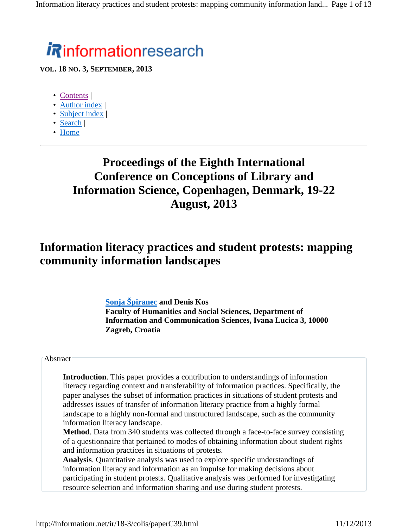# **informationresearch**

**VOL. 18 NO. 3, SEPTEMBER, 2013**

- Contents |
- Author index |
- Subject index |
- Search |
- Home

# **Proceedings of the Eighth International Conference on Conceptions of Library and Information Science, Copenhagen, Denmark, 19-22 August, 2013**

# **Information literacy practices and student protests: mapping community information landscapes**

**Sonja Špiranec and Denis Kos Faculty of Humanities and Social Sciences, Department of Information and Communication Sciences, Ivana Lucica 3, 10000 Zagreb, Croatia**

#### Abstract

**Introduction**. This paper provides a contribution to understandings of information literacy regarding context and transferability of information practices. Specifically, the paper analyses the subset of information practices in situations of student protests and addresses issues of transfer of information literacy practice from a highly formal landscape to a highly non-formal and unstructured landscape, such as the community information literacy landscape.

**Method**. Data from 340 students was collected through a face-to-face survey consisting of a questionnaire that pertained to modes of obtaining information about student rights and information practices in situations of protests.

**Analysis**. Quantitative analysis was used to explore specific understandings of information literacy and information as an impulse for making decisions about participating in student protests. Qualitative analysis was performed for investigating resource selection and information sharing and use during student protests.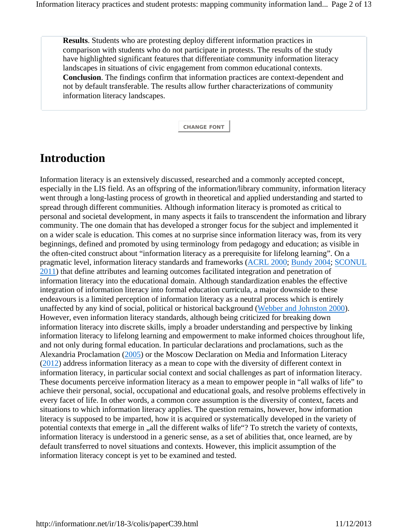**Results**. Students who are protesting deploy different information practices in comparison with students who do not participate in protests. The results of the study have highlighted significant features that differentiate community information literacy landscapes in situations of civic engagement from common educational contexts. **Conclusion**. The findings confirm that information practices are context-dependent and not by default transferable. The results allow further characterizations of community information literacy landscapes.

**CHANGE FONT**

# **Introduction**

Information literacy is an extensively discussed, researched and a commonly accepted concept, especially in the LIS field. As an offspring of the information/library community, information literacy went through a long-lasting process of growth in theoretical and applied understanding and started to spread through different communities. Although information literacy is promoted as critical to personal and societal development, in many aspects it fails to transcendent the information and library community. The one domain that has developed a stronger focus for the subject and implemented it on a wider scale is education. This comes at no surprise since information literacy was, from its very beginnings, defined and promoted by using terminology from pedagogy and education; as visible in the often-cited construct about "information literacy as a prerequisite for lifelong learning". On a pragmatic level, information literacy standards and frameworks (ACRL 2000; Bundy 2004; SCONUL 2011) that define attributes and learning outcomes facilitated integration and penetration of information literacy into the educational domain. Although standardization enables the effective integration of information literacy into formal education curricula, a major downside to these endeavours is a limited perception of information literacy as a neutral process which is entirely unaffected by any kind of social, political or historical background (Webber and Johnston 2000). However, even information literacy standards, although being criticized for breaking down information literacy into discrete skills, imply a broader understanding and perspective by linking information literacy to lifelong learning and empowerment to make informed choices throughout life, and not only during formal education. In particular declarations and proclamations, such as the Alexandria Proclamation (2005) or the Moscow Declaration on Media and Information Literacy (2012) address information literacy as a mean to cope with the diversity of different context in information literacy, in particular social context and social challenges as part of information literacy. These documents perceive information literacy as a mean to empower people in "all walks of life" to achieve their personal, social, occupational and educational goals, and resolve problems effectively in every facet of life. In other words, a common core assumption is the diversity of context, facets and situations to which information literacy applies. The question remains, however, how information literacy is supposed to be imparted, how it is acquired or systematically developed in the variety of potential contexts that emerge in "all the different walks of life"? To stretch the variety of contexts, information literacy is understood in a generic sense, as a set of abilities that, once learned, are by default transferred to novel situations and contexts. However, this implicit assumption of the information literacy concept is yet to be examined and tested.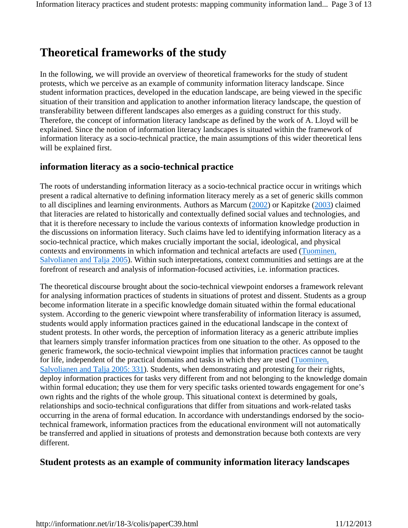# **Theoretical frameworks of the study**

In the following, we will provide an overview of theoretical frameworks for the study of student protests, which we perceive as an example of community information literacy landscape. Since student information practices, developed in the education landscape, are being viewed in the specific situation of their transition and application to another information literacy landscape, the question of transferability between different landscapes also emerges as a guiding construct for this study. Therefore, the concept of information literacy landscape as defined by the work of A. Lloyd will be explained. Since the notion of information literacy landscapes is situated within the framework of information literacy as a socio-technical practice, the main assumptions of this wider theoretical lens will be explained first.

### **information literacy as a socio-technical practice**

The roots of understanding information literacy as a socio-technical practice occur in writings which present a radical alternative to defining information literacy merely as a set of generic skills common to all disciplines and learning environments. Authors as Marcum (2002) or Kapitzke (2003) claimed that literacies are related to historically and contextually defined social values and technologies, and that it is therefore necessary to include the various contexts of information knowledge production in the discussions on information literacy. Such claims have led to identifying information literacy as a socio-technical practice, which makes crucially important the social, ideological, and physical contexts and environments in which information and technical artefacts are used (Tuominen, Salvolianen and Talja 2005). Within such interpretations, context communities and settings are at the forefront of research and analysis of information-focused activities, i.e. information practices.

The theoretical discourse brought about the socio-technical viewpoint endorses a framework relevant for analysing information practices of students in situations of protest and dissent. Students as a group become information literate in a specific knowledge domain situated within the formal educational system. According to the generic viewpoint where transferability of information literacy is assumed, students would apply information practices gained in the educational landscape in the context of student protests. In other words, the perception of information literacy as a generic attribute implies that learners simply transfer information practices from one situation to the other. As opposed to the generic framework, the socio-technical viewpoint implies that information practices cannot be taught for life, independent of the practical domains and tasks in which they are used (Tuominen, Salvolianen and Talja 2005: 331). Students, when demonstrating and protesting for their rights, deploy information practices for tasks very different from and not belonging to the knowledge domain within formal education; they use them for very specific tasks oriented towards engagement for one's own rights and the rights of the whole group. This situational context is determined by goals, relationships and socio-technical configurations that differ from situations and work-related tasks occurring in the arena of formal education. In accordance with understandings endorsed by the sociotechnical framework, information practices from the educational environment will not automatically be transferred and applied in situations of protests and demonstration because both contexts are very different.

### **Student protests as an example of community information literacy landscapes**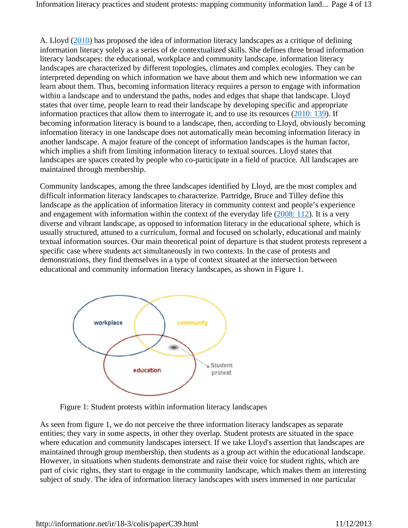A. Lloyd (2010) has proposed the idea of information literacy landscapes as a critique of defining information literacy solely as a series of de contextualized skills. She defines three broad information literacy landscapes: the educational, workplace and community landscape. information literacy landscapes are characterized by different topologies, climates and complex ecologies. They can be interpreted depending on which information we have about them and which new information we can learn about them. Thus, becoming information literacy requires a person to engage with information within a landscape and to understand the paths, nodes and edges that shape that landscape. Lloyd states that over time, people learn to read their landscape by developing specific and appropriate information practices that allow them to interrogate it, and to use its resources (2010: 139). If becoming information literacy is bound to a landscape, then, according to Lloyd, obviously becoming information literacy in one landscape does not automatically mean becoming information literacy in another landscape. A major feature of the concept of information landscapes is the human factor, which implies a shift from limiting information literacy to textual sources. Lloyd states that landscapes are spaces created by people who co-participate in a field of practice. All landscapes are maintained through membership.

Community landscapes, among the three landscapes identified by Lloyd, are the most complex and difficult information literacy landscapes to characterize. Partridge, Bruce and Tilley define this landscape as the application of information literacy in community context and people's experience and engagement with information within the context of the everyday life (2008: 112). It is a very diverse and vibrant landscape, as opposed to information literacy in the educational sphere, which is usually structured, attuned to a curriculum, formal and focused on scholarly, educational and mainly textual information sources. Our main theoretical point of departure is that student protests represent a specific case where students act simultaneously in two contexts. In the case of protests and demonstrations, they find themselves in a type of context situated at the intersection between educational and community information literacy landscapes, as shown in Figure 1.



Figure 1: Student protests within information literacy landscapes

As seen from figure 1, we do not perceive the three information literacy landscapes as separate entities; they vary in some aspects, in other they overlap. Student protests are situated in the space where education and community landscapes intersect. If we take Lloyd's assertion that landscapes are maintained through group membership, then students as a group act within the educational landscape. However, in situations when students demonstrate and raise their voice for student rights, which are part of civic rights, they start to engage in the community landscape, which makes them an interesting subject of study. The idea of information literacy landscapes with users immersed in one particular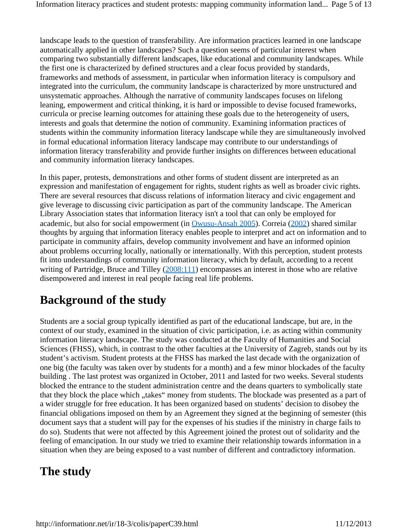landscape leads to the question of transferability. Are information practices learned in one landscape automatically applied in other landscapes? Such a question seems of particular interest when comparing two substantially different landscapes, like educational and community landscapes. While the first one is characterized by defined structures and a clear focus provided by standards, frameworks and methods of assessment, in particular when information literacy is compulsory and integrated into the curriculum, the community landscape is characterized by more unstructured and unsystematic approaches. Although the narrative of community landscapes focuses on lifelong leaning, empowerment and critical thinking, it is hard or impossible to devise focused frameworks, curricula or precise learning outcomes for attaining these goals due to the heterogeneity of users, interests and goals that determine the notion of community. Examining information practices of students within the community information literacy landscape while they are simultaneously involved in formal educational information literacy landscape may contribute to our understandings of information literacy transferability and provide further insights on differences between educational and community information literacy landscapes.

In this paper, protests, demonstrations and other forms of student dissent are interpreted as an expression and manifestation of engagement for rights, student rights as well as broader civic rights. There are several resources that discuss relations of information literacy and civic engagement and give leverage to discussing civic participation as part of the community landscape. The American Library Association states that information literacy isn't a tool that can only be employed for academic, but also for social empowerment (in Owusu-Ansah 2005). Correia (2002) shared similar thoughts by arguing that information literacy enables people to interpret and act on information and to participate in community affairs, develop community involvement and have an informed opinion about problems occurring locally, nationally or internationally. With this perception, student protests fit into understandings of community information literacy, which by default, according to a recent writing of Partridge, Bruce and Tilley (2008:111) encompasses an interest in those who are relative disempowered and interest in real people facing real life problems.

# **Background of the study**

Students are a social group typically identified as part of the educational landscape, but are, in the context of our study, examined in the situation of civic participation, i.e. as acting within community information literacy landscape. The study was conducted at the Faculty of Humanities and Social Sciences (FHSS), which, in contrast to the other faculties at the University of Zagreb, stands out by its student's activism. Student protests at the FHSS has marked the last decade with the organization of one big (the faculty was taken over by students for a month) and a few minor blockades of the faculty building . The last protest was organized in October, 2011 and lasted for two weeks. Several students blocked the entrance to the student administration centre and the deans quarters to symbolically state that they block the place which "takes" money from students. The blockade was presented as a part of a wider struggle for free education. It has been organized based on students' decision to disobey the financial obligations imposed on them by an Agreement they signed at the beginning of semester (this document says that a student will pay for the expenses of his studies if the ministry in charge fails to do so). Students that were not affected by this Agreement joined the protest out of solidarity and the feeling of emancipation. In our study we tried to examine their relationship towards information in a situation when they are being exposed to a vast number of different and contradictory information.

# **The study**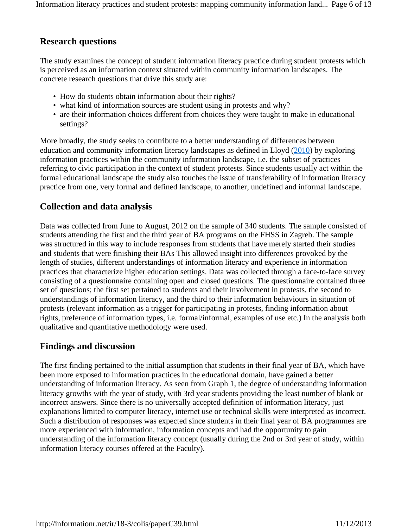## **Research questions**

The study examines the concept of student information literacy practice during student protests which is perceived as an information context situated within community information landscapes. The concrete research questions that drive this study are:

- How do students obtain information about their rights?
- what kind of information sources are student using in protests and why?
- are their information choices different from choices they were taught to make in educational settings?

More broadly, the study seeks to contribute to a better understanding of differences between education and community information literacy landscapes as defined in Lloyd (2010) by exploring information practices within the community information landscape, i.e. the subset of practices referring to civic participation in the context of student protests. Since students usually act within the formal educational landscape the study also touches the issue of transferability of information literacy practice from one, very formal and defined landscape, to another, undefined and informal landscape.

# **Collection and data analysis**

Data was collected from June to August, 2012 on the sample of 340 students. The sample consisted of students attending the first and the third year of BA programs on the FHSS in Zagreb. The sample was structured in this way to include responses from students that have merely started their studies and students that were finishing their BAs This allowed insight into differences provoked by the length of studies, different understandings of information literacy and experience in information practices that characterize higher education settings. Data was collected through a face-to-face survey consisting of a questionnaire containing open and closed questions. The questionnaire contained three set of questions; the first set pertained to students and their involvement in protests, the second to understandings of information literacy, and the third to their information behaviours in situation of protests (relevant information as a trigger for participating in protests, finding information about rights, preference of information types, i.e. formal/informal, examples of use etc.) In the analysis both qualitative and quantitative methodology were used.

# **Findings and discussion**

The first finding pertained to the initial assumption that students in their final year of BA, which have been more exposed to information practices in the educational domain, have gained a better understanding of information literacy. As seen from Graph 1, the degree of understanding information literacy growths with the year of study, with 3rd year students providing the least number of blank or incorrect answers. Since there is no universally accepted definition of information literacy, just explanations limited to computer literacy, internet use or technical skills were interpreted as incorrect. Such a distribution of responses was expected since students in their final year of BA programmes are more experienced with information, information concepts and had the opportunity to gain understanding of the information literacy concept (usually during the 2nd or 3rd year of study, within information literacy courses offered at the Faculty).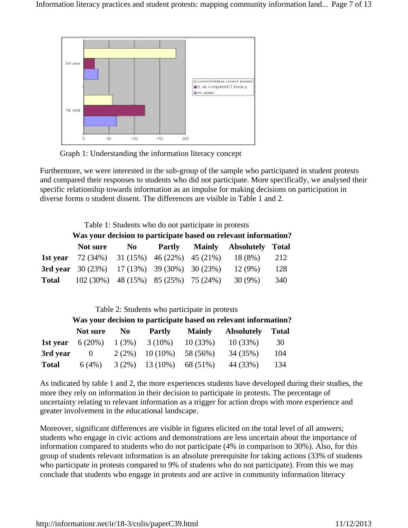

Graph 1: Understanding the information literacy concept

Furthermore, we were interested in the sub-group of the sample who participated in student protests and compared their responses to students who did not participate. More specifically, we analysed their specific relationship towards information as an impulse for making decisions on participation in diverse forms o student dissent. The differences are visible in Table 1 and 2.

Table 1: Students who do not participate in protests

#### **Was your decision to participate based on relevant information?**

| Not sure                                                    | No |  | Partly Mainly Absolutely Total |     |
|-------------------------------------------------------------|----|--|--------------------------------|-----|
| <b>1st year</b> 72 (34%) 31 (15%) 46 (22%) 45 (21%) 18 (8%) |    |  |                                | 212 |
| <b>3rd vear</b> 30 (23%) 17 (13%) 39 (30%) 30 (23%)         |    |  | 12(9%)                         | 128 |
| <b>Total</b> 102 (30%) 48 (15%) 85 (25%) 75 (24%)           |    |  | 30 (9%)                        | 340 |

#### Table 2: Students who participate in protests

|              |          |          |                    |               | Was your decision to participate based on relevant information? |              |
|--------------|----------|----------|--------------------|---------------|-----------------------------------------------------------------|--------------|
|              | Not sure | No       | Partly             | <b>Mainly</b> | <b>Absolutely</b>                                               | <b>Total</b> |
| 1st year     | 6 (20%)  |          | $1(3\%)$ $3(10\%)$ | 10(33%)       | 10(33%)                                                         | 30           |
| 3rd year     | $\theta$ | $2(2\%)$ | $10(10\%)$         | 58 (56%)      | 34(35%)                                                         | 104          |
| <b>Total</b> | 6(4%)    | $3(2\%)$ | 13 (10%)           | 68 (51%)      | 44 (33%)                                                        | 134          |

As indicated by table 1 and 2, the more experiences students have developed during their studies, the more they rely on information in their decision to participate in protests. The percentage of uncertainty relating to relevant information as a trigger for action drops with more experience and greater involvement in the educational landscape.

Moreover, significant differences are visible in figures elicited on the total level of all answers; students who engage in civic actions and demonstrations are less uncertain about the importance of information compared to students who do not participate (4% in comparison to 30%). Also, for this group of students relevant information is an absolute prerequisite for taking actions (33% of students who participate in protests compared to 9% of students who do not participate). From this we may conclude that students who engage in protests and are active in community information literacy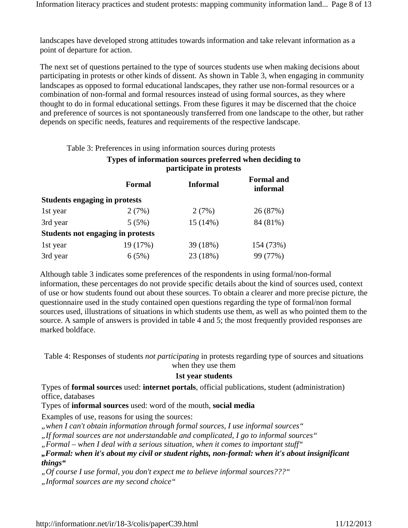landscapes have developed strong attitudes towards information and take relevant information as a point of departure for action.

The next set of questions pertained to the type of sources students use when making decisions about participating in protests or other kinds of dissent. As shown in Table 3, when engaging in community landscapes as opposed to formal educational landscapes, they rather use non-formal resources or a combination of non-formal and formal resources instead of using formal sources, as they where thought to do in formal educational settings. From these figures it may be discerned that the choice and preference of sources is not spontaneously transferred from one landscape to the other, but rather depends on specific needs, features and requirements of the respective landscape.

Table 3: Preferences in using information sources during protests

| Types of information sources preferred when deciding to |
|---------------------------------------------------------|
| participate in protests                                 |

|                                      | <b>Formal</b>                     | <b>Informal</b> | <b>Formal</b> and<br>informal |  |
|--------------------------------------|-----------------------------------|-----------------|-------------------------------|--|
| <b>Students engaging in protests</b> |                                   |                 |                               |  |
| 1st year                             | 2(7%)                             | 2(7%)           | 26 (87%)                      |  |
| 3rd year                             | 5(5%)                             | 15(14%)         | 84 (81%)                      |  |
|                                      | Students not engaging in protests |                 |                               |  |
| 1st year                             | 19 (17%)                          | 39 (18%)        | 154 (73%)                     |  |
| 3rd year                             | 6(5%)                             | 23 (18%)        | 99 (77%)                      |  |

Although table 3 indicates some preferences of the respondents in using formal/non-formal information, these percentages do not provide specific details about the kind of sources used, context of use or how students found out about these sources. To obtain a clearer and more precise picture, the questionnaire used in the study contained open questions regarding the type of formal/non formal sources used, illustrations of situations in which students use them, as well as who pointed them to the source. A sample of answers is provided in table 4 and 5; the most frequently provided responses are marked boldface.

Table 4: Responses of students *not participating* in protests regarding type of sources and situations when they use them

### **1st year students**

Types of **formal sources** used: **internet portals**, official publications, student (administration) office, databases

Types of **informal sources** used: word of the mouth, **social media**

Examples of use, reasons for using the sources:

*"when I can't obtain information through formal sources, I use informal sources"*

*"If formal sources are not understandable and complicated, I go to informal sources"*

*"Formal – when I deal with a serious situation, when it comes to important stuff"*

*"Formal: when it's about my civil or student rights, non-formal: when it's about insignificant things"*

*"Of course I use formal, you don't expect me to believe informal sources???"*

*"Informal sources are my second choice"*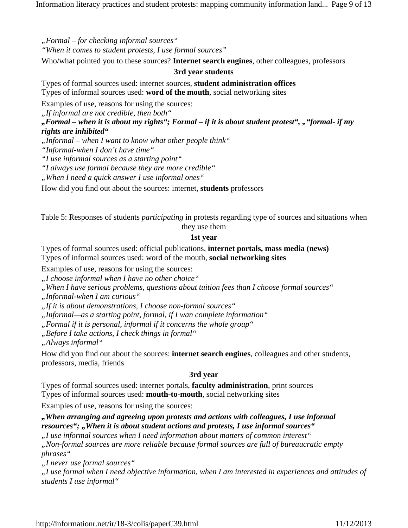Information literacy practices and student protests: mapping community information land... Page 9 of 13

*"Formal – for checking informal sources" "When it comes to student protests, I use formal sources"*

Who/what pointed you to these sources? **Internet search engines**, other colleagues, professors

### **3rd year students**

Types of formal sources used: internet sources, **student administration offices** Types of informal sources used: **word of the mouth**, social networking sites

Examples of use, reasons for using the sources:

*"If informal are not credible, then both"*

*"Formal – when it is about my rights"; Formal – if it is about student protest", ""formal- if my rights are inhibited"*

*"Informal – when I want to know what other people think"*

*"Informal-when I don't have time"*

*"I use informal sources as a starting point"*

*"I always use formal because they are more credible"*

*"When I need a quick answer I use informal ones"*

How did you find out about the sources: internet, **students** professors

Table 5: Responses of students *participating* in protests regarding type of sources and situations when they use them

#### **1st year**

Types of formal sources used: official publications, **internet portals, mass media (news)** Types of informal sources used: word of the mouth, **social networking sites**

Examples of use, reasons for using the sources:

*"I choose informal when I have no other choice"*

*"When I have serious problems, questions about tuition fees than I choose formal sources"*

*"Informal-when I am curious"*

*"If it is about demonstrations, I choose non-formal sources"*

*"Informal—as a starting point, formal, if I wan complete information"*

*"Formal if it is personal, informal if it concerns the whole group"*

*"Before I take actions, I check things in formal"*

*"Always informal"*

How did you find out about the sources: **internet search engines**, colleagues and other students, professors, media, friends

### **3rd year**

Types of formal sources used: internet portals, **faculty administration**, print sources Types of informal sources used: **mouth-to-mouth**, social networking sites

Examples of use, reasons for using the sources:

### *"When arranging and agreeing upon protests and actions with colleagues, I use informal*  resources"; "When it is about student actions and protests, I use informal sources"

*"I use informal sources when I need information about matters of common interest"*

*"Non-formal sources are more reliable because formal sources are full of bureaucratic empty phrases"*

*"I never use formal sources"*

*"I use formal when I need objective information, when I am interested in experiences and attitudes of students I use informal"*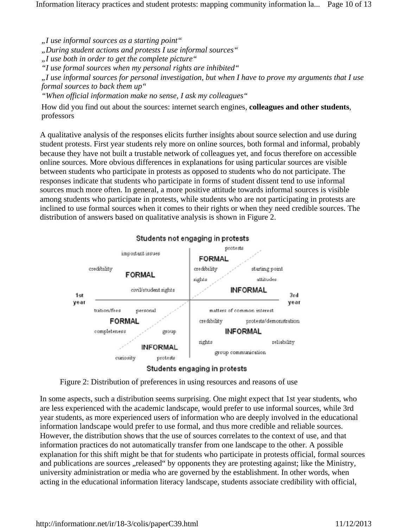Information literacy practices and student protests: mapping community information la... Page 10 of 13

*"I use informal sources as a starting point"*

*"During student actions and protests I use informal sources"*

*"I use both in order to get the complete picture"*

*"I use formal sources when my personal rights are inhibited"*

*"I use informal sources for personal investigation, but when I have to prove my arguments that I use formal sources to back them up"*

*"When official information make no sense, I ask my colleagues"*

How did you find out about the sources: internet search engines, **colleagues and other students**, professors

A qualitative analysis of the responses elicits further insights about source selection and use during student protests. First year students rely more on online sources, both formal and informal, probably because they have not built a trustable network of colleagues yet, and focus therefore on accessible online sources. More obvious differences in explanations for using particular sources are visible between students who participate in protests as opposed to students who do not participate. The responses indicate that students who participate in forms of student dissent tend to use informal sources much more often. In general, a more positive attitude towards informal sources is visible among students who participate in protests, while students who are not participating in protests are inclined to use formal sources when it comes to their rights or when they need credible sources. The distribution of answers based on qualitative analysis is shown in Figure 2.



#### Students not engaging in protests



In some aspects, such a distribution seems surprising. One might expect that 1st year students, who are less experienced with the academic landscape, would prefer to use informal sources, while 3rd year students, as more experienced users of information who are deeply involved in the educational information landscape would prefer to use formal, and thus more credible and reliable sources. However, the distribution shows that the use of sources correlates to the context of use, and that information practices do not automatically transfer from one landscape to the other. A possible explanation for this shift might be that for students who participate in protests official, formal sources and publications are sources "released" by opponents they are protesting against; like the Ministry, university administration or media who are governed by the establishment. In other words, when acting in the educational information literacy landscape, students associate credibility with official,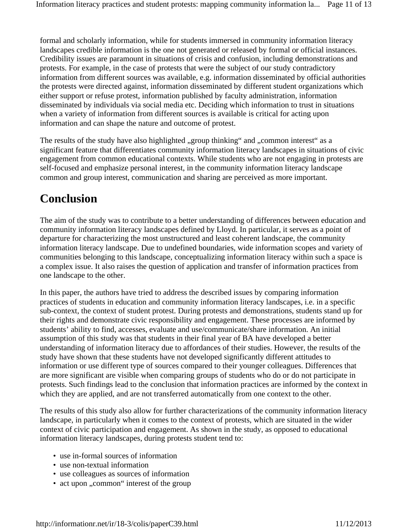formal and scholarly information, while for students immersed in community information literacy landscapes credible information is the one not generated or released by formal or official instances. Credibility issues are paramount in situations of crisis and confusion, including demonstrations and protests. For example, in the case of protests that were the subject of our study contradictory information from different sources was available, e.g. information disseminated by official authorities the protests were directed against, information disseminated by different student organizations which either support or refuse protest, information published by faculty administration, information disseminated by individuals via social media etc. Deciding which information to trust in situations when a variety of information from different sources is available is critical for acting upon information and can shape the nature and outcome of protest.

The results of the study have also highlighted "group thinking" and "common interest" as a significant feature that differentiates community information literacy landscapes in situations of civic engagement from common educational contexts. While students who are not engaging in protests are self-focused and emphasize personal interest, in the community information literacy landscape common and group interest, communication and sharing are perceived as more important.

# **Conclusion**

The aim of the study was to contribute to a better understanding of differences between education and community information literacy landscapes defined by Lloyd. In particular, it serves as a point of departure for characterizing the most unstructured and least coherent landscape, the community information literacy landscape. Due to undefined boundaries, wide information scopes and variety of communities belonging to this landscape, conceptualizing information literacy within such a space is a complex issue. It also raises the question of application and transfer of information practices from one landscape to the other.

In this paper, the authors have tried to address the described issues by comparing information practices of students in education and community information literacy landscapes, i.e. in a specific sub-context, the context of student protest. During protests and demonstrations, students stand up for their rights and demonstrate civic responsibility and engagement. These processes are informed by students' ability to find, accesses, evaluate and use/communicate/share information. An initial assumption of this study was that students in their final year of BA have developed a better understanding of information literacy due to affordances of their studies. However, the results of the study have shown that these students have not developed significantly different attitudes to information or use different type of sources compared to their younger colleagues. Differences that are more significant are visible when comparing groups of students who do or do not participate in protests. Such findings lead to the conclusion that information practices are informed by the context in which they are applied, and are not transferred automatically from one context to the other.

The results of this study also allow for further characterizations of the community information literacy landscape, in particularly when it comes to the context of protests, which are situated in the wider context of civic participation and engagement. As shown in the study, as opposed to educational information literacy landscapes, during protests student tend to:

- use in-formal sources of information
- use non-textual information
- use colleagues as sources of information
- act upon "common" interest of the group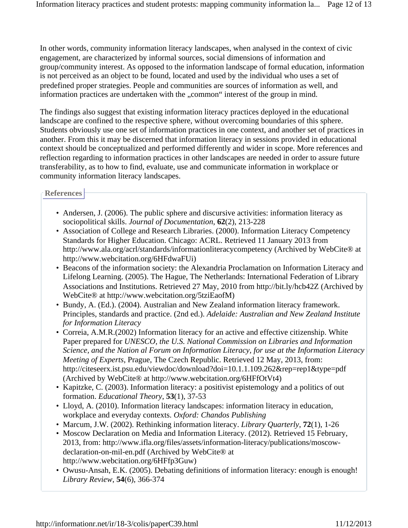In other words, community information literacy landscapes, when analysed in the context of civic engagement, are characterized by informal sources, social dimensions of information and group/community interest. As opposed to the information landscape of formal education, information is not perceived as an object to be found, located and used by the individual who uses a set of predefined proper strategies. People and communities are sources of information as well, and information practices are undertaken with the "common" interest of the group in mind.

The findings also suggest that existing information literacy practices deployed in the educational landscape are confined to the respective sphere, without overcoming boundaries of this sphere. Students obviously use one set of information practices in one context, and another set of practices in another. From this it may be discerned that information literacy in sessions provided in educational context should be conceptualized and performed differently and wider in scope. More references and reflection regarding to information practices in other landscapes are needed in order to assure future transferability, as to how to find, evaluate, use and communicate information in workplace or community information literacy landscapes.

### **References**

- Andersen, J. (2006). The public sphere and discursive activities: information literacy as sociopolitical skills. *Journal of Documentation*, **62**(2), 213-228
- Association of College and Research Libraries. (2000). Information Literacy Competency Standards for Higher Education. Chicago: ACRL. Retrieved 11 January 2013 from http://www.ala.org/acrl/standards/informationliteracycompetency (Archived by WebCite® at http://www.webcitation.org/6HFdwaFUi)
- Beacons of the information society: the Alexandria Proclamation on Information Literacy and Lifelong Learning. (2005). The Hague, The Netherlands: International Federation of Library Associations and Institutions. Retrieved 27 May, 2010 from http://bit.ly/hcb42Z (Archived by WebCite® at http://www.webcitation.org/5tziEaofM)
- Bundy, A. (Ed.). (2004). Australian and New Zealand information literacy framework. Principles, standards and practice. (2nd ed.). *Adelaide: Australian and New Zealand Institute for Information Literacy*
- Correia, A.M.R.(2002) Information literacy for an active and effective citizenship. White Paper prepared for *UNESCO, the U.S. National Commission on Libraries and Information Science, and the Nation al Forum on Information Literacy, for use at the Information Literacy Meeting of Experts*, Prague, The Czech Republic. Retrieved 12 May, 2013, from: http://citeseerx.ist.psu.edu/viewdoc/download?doi=10.1.1.109.262&rep=rep1&type=pdf (Archived by WebCite® at http://www.webcitation.org/6HFfOtVt4)
- Kapitzke, C. (2003). Information literacy: a positivist epistemology and a politics of out formation. *Educational Theory*, **53**(1), 37-53
- Lloyd, A. (2010). Information literacy landscapes: information literacy in education, workplace and everyday contexts. *Oxford: Chandos Publishing*
- Marcum, J.W. (2002). Rethinking information literacy. *Library Quarterly*, **72**(1), 1-26
- Moscow Declaration on Media and Information Literacy. (2012). Retrieved 15 February, 2013, from: http://www.ifla.org/files/assets/information-literacy/publications/moscowdeclaration-on-mil-en.pdf (Archived by WebCite® at http://www.webcitation.org/6HFfp3Guw)
- Owusu-Ansah, E.K. (2005). Debating definitions of information literacy: enough is enough! *Library Review*, **54**(6), 366-374